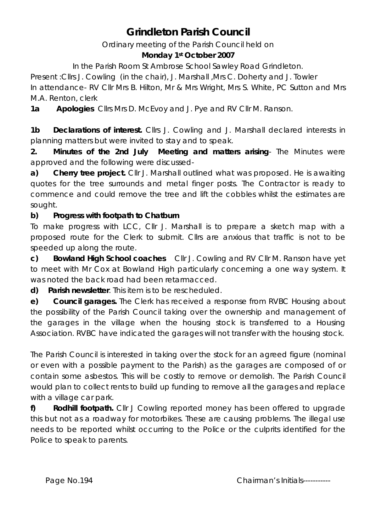# **Grindleton Parish Council**

Ordinary meeting of the Parish Council held on

## **Monday 1st October 2007**

In the Parish Room St Ambrose School Sawley Road Grindleton.

Present :Cllrs J. Cowling (in the chair), J. Marshall ,Mrs C. Doherty and J. Towler In attendance- RV Cllr Mrs B. Hilton, Mr & Mrs Wright, Mrs S. White, PC Sutton and Mrs M.A. Renton, clerk

**1a Apologies** Cllrs Mrs D. McEvoy and J. Pye and RV Cllr M. Ranson.

**1b** Declarations of interest. Cllrs J. Cowling and J. Marshall declared interests in planning matters but were invited to stay and to speak.

**2. Minutes of the 2nd July Meeting and matters arising**- The Minutes were approved and the following were discussed-

**a) Cherry tree project.** Cllr J. Marshall outlined what was proposed. He is awaiting quotes for the tree surrounds and metal finger posts. The Contractor is ready to commence and could remove the tree and lift the cobbles whilst the estimates are sought.

# **b) Progress with footpath to Chatburn**

To make progress with LCC, Cllr J. Marshall is to prepare a sketch map with a proposed route for the Clerk to submit. Cllrs are anxious that traffic is not to be speeded up along the route.

**c) Bowland High School coaches** Cllr J. Cowling and RV Cllr M. Ranson have yet to meet with Mr Cox at Bowland High particularly concerning a one way system. It was noted the back road had been retarmacced.

**d) Parish newsletter**. This item is to be rescheduled.

**e) Council garages.** The Clerk has received a response from RVBC Housing about the possibility of the Parish Council taking over the ownership and management of the garages in the village when the housing stock is transferred to a Housing Association. RVBC have indicated the garages will not transfer with the housing stock.

The Parish Council is interested in taking over the stock for an agreed figure (nominal or even with a possible payment to the Parish) as the garages are composed of or contain some asbestos. This will be costly to remove or demolish. The Parish Council would plan to collect rents to build up funding to remove all the garages and replace with a village car park.

**f) Rodhill footpath.** Cllr J Cowling reported money has been offered to upgrade this but not as a roadway for motorbikes. These are causing problems. The illegal use needs to be reported whilst occurring to the Police or the culprits identified for the Police to speak to parents.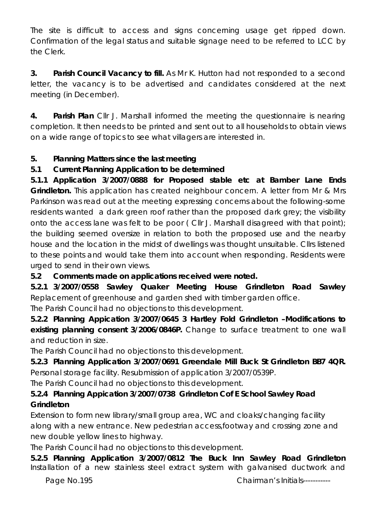The site is difficult to access and signs concerning usage get ripped down. Confirmation of the legal status and suitable signage need to be referred to LCC by the Clerk.

**3. Parish Council Vacancy to fill.** As Mr K. Hutton had not responded to a second letter, the vacancy is to be advertised and candidates considered at the next meeting (in December).

**4. Parish Plan** Cllr J. Marshall informed the meeting the questionnaire is nearing completion. It then needs to be printed and sent out to all households to obtain views on a wide range of topics to see what villagers are interested in.

## **5. Planning Matters since the last meeting**

# **5.1 Current Planning Application to be determined**

**5.1.1 Application 3/2007/0888 for Proposed stable etc at Bamber Lane Ends Grindleton.** This application has created neighbour concern. A letter from Mr & Mrs Parkinson was read out at the meeting expressing concerns about the following-some residents wanted a dark green roof rather than the proposed dark grey; the visibility onto the access lane was felt to be poor ( Cllr J. Marshall disagreed with that point); the building seemed oversize in relation to both the proposed use and the nearby house and the location in the midst of dwellings was thought unsuitable. Cllrs listened to these points and would take them into account when responding. Residents were urged to send in their own views.

## **5.2 Comments made on applications received were noted.**

**5.2.1 3/2007/0558 Sawley Quaker Meeting House Grindleton Road Sawley**  Replacement of greenhouse and garden shed with timber garden office.

The Parish Council had no objections to this development.

**5.2.2 Planning Appication 3/2007/0645 3 Hartley Fold Grindleton –Modifications to existing planning consent 3/2006/0846P.** Change to surface treatment to one wall and reduction in size.

The Parish Council had no objections to this development.

# **5.2.3 Planning Application 3/2007/0691 Greendale Mill Buck St Grindleton BB7 4QR.**  Personal storage facility. Resubmission of application 3/2007/0539P.

The Parish Council had no objections to this development.

# **5.2.4 Planning Appication 3/2007/0738 Grindleton Cof E School Sawley Road Grindleton**

Extension to form new library/small group area, WC and cloaks/changing facility along with a new entrance. New pedestrian access,footway and crossing zone and new double yellow lines to highway.

The Parish Council had no objections to this development.

**5.2.5 Planning Application 3/2007/0812 The Buck Inn Sawley Road Grindleton**  Installation of a new stainless steel extract system with galvanised ductwork and

Page No.195 **Chairman's Initials-----------**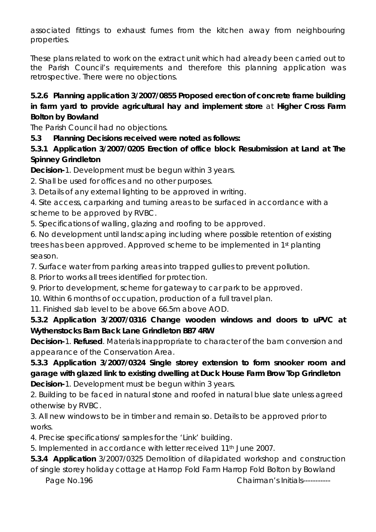associated fittings to exhaust fumes from the kitchen away from neighbouring properties.

These plans related to work on the extract unit which had already been carried out to the Parish Council's requirements and therefore this planning application was retrospective. There were no objections.

#### **5.2.6 Planning application 3/2007/0855 Proposed erection of concrete frame building in farm yard to provide agricultural hay and implement store** at **Higher Cross Farm Bolton by Bowland**

The Parish Council had no objections.

**5.3 Planning Decisions received were noted as follows:** 

#### **5.3.1 Application 3/2007/0205 Erection of office block Resubmission at Land at The Spinney Grindleton**

**Decision-**1. Development must be begun within 3 years.

2. Shall be used for offices and no other purposes.

3. Details of any external lighting to be approved in writing.

4. Site access, carparking and turning areas to be surfaced in accordance with a scheme to be approved by RVBC.

5. Specifications of walling, glazing and roofing to be approved.

6. No development until landscaping including where possible retention of existing trees has been approved. Approved scheme to be implemented in 1st planting season.

7. Surface water from parking areas into trapped gullies to prevent pollution.

8. Prior to works all trees identified for protection.

9. Prior to development, scheme for gateway to car park to be approved.

10. Within 6 months of occupation, production of a full travel plan.

11. Finished slab level to be above 66.5m above AOD.

**5.3.2 Application 3/2007/0316 Change wooden windows and doors to uPVC at Wythenstocks Barn Back Lane Grindleton BB7 4RW** 

**Decision-**1. **Refused**. Materials inappropriate to character of the barn conversion and appearance of the Conservation Area.

**5.3.3 Application 3/2007/0324 Single storey extension to form snooker room and garage with glazed link to existing dwelling at Duck House Farm Brow Top Grindleton Decision-**1. Development must be begun within 3 years.

2. Building to be faced in natural stone and roofed in natural blue slate unless agreed otherwise by RVBC.

3. All new windows to be in timber and remain so. Details to be approved prior to works.

4. Precise specifications/ samples for the 'Link' building.

5. Implemented in accordance with letter received 11th June 2007.

**5.3.4 Application** 3/2007/0325 Demolition of dilapidated workshop and construction of single storey holiday cottage at Harrop Fold Farm Harrop Fold Bolton by Bowland

Page No.196 Chairman's Initials------------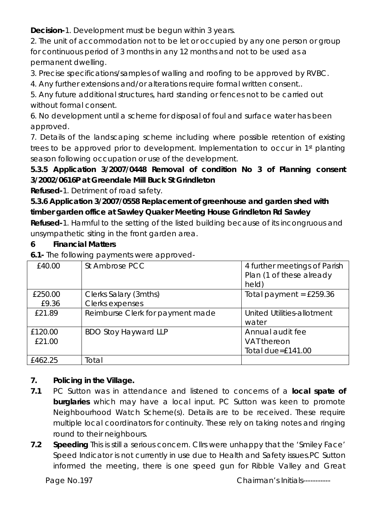**Decision-**1. Development must be begun within 3 years.

2. The unit of accommodation not to be let or occupied by any one person or group for continuous period of 3 months in any 12 months and not to be used as a permanent dwelling.

3. Precise specifications/samples of walling and roofing to be approved by RVBC.

4. Any further extensions and/or alterations require formal written consent..

5. Any future additional structures, hard standing or fences not to be carried out without formal consent.

6. No development until a scheme for disposal of foul and surface water has been approved.

7. Details of the landscaping scheme including where possible retention of existing trees to be approved prior to development. Implementation to occur in 1st planting season following occupation or use of the development.

**5.3.5 Application 3/2007/0448 Removal of condition No 3 of Planning consent 3/2002/0616P at Greendale Mill Buck St Grindleton** 

**Refused-**1. Detriment of road safety.

**5.3.6 Application 3/2007/0558 Replacement of greenhouse and garden shed with timber garden office at Sawley Quaker Meeting House Grindleton Rd Sawley** 

**Refused-**1. Harmful to the setting of the listed building because of its incongruous and unsympathetic siting in the front garden area.

## **6 Financial Matters**

**6.1-** The following payments were approved-

| £40.00            | St Ambrose PCC                           | 4 further meetings of Parish<br>Plan (1 of these already<br>held) |
|-------------------|------------------------------------------|-------------------------------------------------------------------|
| £250.00<br>£9.36  | Clerks Salary (3mths)<br>Clerks expenses | Total payment = $£259.36$                                         |
| £21.89            | Reimburse Clerk for payment made         | United Utilities-allotment<br>water                               |
| £120.00<br>£21.00 | <b>BDO Stoy Hayward LLP</b>              | Annual audit fee<br>VAT thereon<br>Total due= $£141.00$           |
| £462.25           | Total                                    |                                                                   |

# **7. Policing in the Village.**

- **7.1** PC Sutton was in attendance and listened to concerns of a **local spate of burglaries** which may have a local input. PC Sutton was keen to promote Neighbourhood Watch Scheme(s). Details are to be received. These require multiple local coordinators for continuity. These rely on taking notes and ringing round to their neighbours.
- **7.2 Speeding** This is still a serious concern. Cllrs were unhappy that the 'Smiley Face' Speed Indicator is not currently in use due to Health and Safety issues.PC Sutton informed the meeting, there is one speed gun for Ribble Valley and Great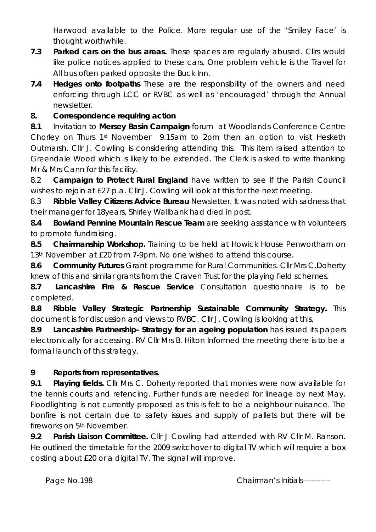Harwood available to the Police. More regular use of the 'Smiley Face' is thought worthwhile.

- **7.3 Parked cars on the bus areas.** These spaces are regularly abused. Cllrs would like police notices applied to these cars. One problem vehicle is the Travel for All bus often parked opposite the Buck Inn.
- **7.4 Hedges onto footpaths** These are the responsibility of the owners and need enforcing through LCC or RVBC as well as 'encouraged' through the Annual newsletter.

#### **8. Correspondence requiring action**

**8.1** Invitation to **Mersey Basin Campaign** forum at Woodlands Conference Centre Chorley on Thurs 1st November 9.15am to 2pm then an option to visit Hesketh Outmarsh. Cllr J. Cowling is considering attending this. This item raised attention to Greendale Wood which is likely to be extended. The Clerk is asked to write thanking Mr & Mrs Cann for this facility.

8.2 **Campaign to Protect Rural England** have written to see if the Parish Council wishes to rejoin at £27 p.a. Cllr J. Cowling will look at this for the next meeting.

8.3 **Ribble Valley Citizens Advice Bureau** Newsletter. It was noted with sadness that their manager for 18years, Shirley Wallbank had died in post.

**8.4 Bowland Pennine Mountain Rescue Team** are seeking assistance with volunteers to promote fundraising.

**8.5 Chairmanship Workshop.** Training to be held at Howick House Penwortham on 13<sup>th</sup> November at £20 from 7-9pm. No one wished to attend this course.

**8.6 Community Futures** Grant programme for Rural Communities. Cllr Mrs C.Doherty knew of this and similar grants from the Craven Trust for the playing field schemes.

**8.7 Lancashire Fire & Rescue Service** Consultation questionnaire is to be completed.

**8.8 Ribble Valley Strategic Partnership Sustainable Community Strategy.** This document is for discussion and views to RVBC. Cllr J. Cowling is looking at this.

**8.9 Lancashire Partnership- Strategy for an ageing population** has issued its papers electronically for accessing. RV Cllr Mrs B. Hilton Informed the meeting there is to be a formal launch of this strategy.

#### **9 Reports from representatives.**

**9.1 Playing fields.** Cllr Mrs C. Doherty reported that monies were now available for the tennis courts and refencing. Further funds are needed for lineage by next May. Floodlighting is not currently proposed as this is felt to be a neighbour nuisance. The bonfire is not certain due to safety issues and supply of pallets but there will be fireworks on 5<sup>th</sup> November.

**9.2 Parish Liaison Committee.** Cllr J Cowling had attended with RV Cllr M. Ranson. He outlined the timetable for the 2009 switchover to digital TV which will require a box costing about £20 or a digital TV. The signal will improve.